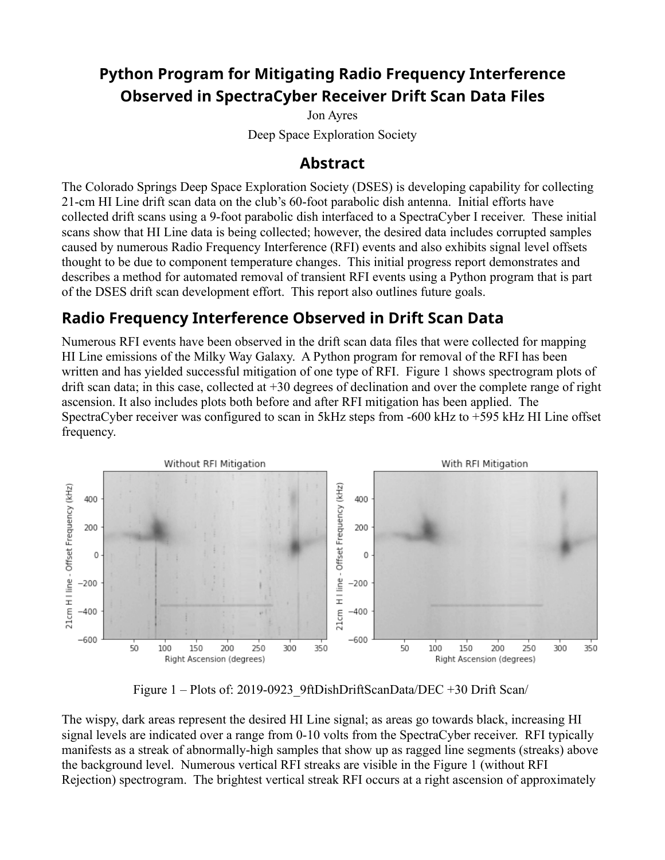## **Python Program for Mitigating Radio Frequency Interference Observed in SpectraCyber Receiver Drift Scan Data Files**

Jon Ayres Deep Space Exploration Society

#### **Abstract**

The Colorado Springs Deep Space Exploration Society (DSES) is developing capability for collecting 21-cm HI Line drift scan data on the club's 60-foot parabolic dish antenna. Initial efforts have collected drift scans using a 9-foot parabolic dish interfaced to a SpectraCyber I receiver. These initial scans show that HI Line data is being collected; however, the desired data includes corrupted samples caused by numerous Radio Frequency Interference (RFI) events and also exhibits signal level offsets thought to be due to component temperature changes. This initial progress report demonstrates and describes a method for automated removal of transient RFI events using a Python program that is part of the DSES drift scan development effort. This report also outlines future goals.

## **Radio Frequency Interference Observed in Drift Scan Data**

Numerous RFI events have been observed in the drift scan data files that were collected for mapping HI Line emissions of the Milky Way Galaxy. A Python program for removal of the RFI has been written and has yielded successful mitigation of one type of RFI. Figure 1 shows spectrogram plots of drift scan data; in this case, collected at +30 degrees of declination and over the complete range of right ascension. It also includes plots both before and after RFI mitigation has been applied. The SpectraCyber receiver was configured to scan in 5kHz steps from -600 kHz to +595 kHz HI Line offset frequency.



Figure 1 – Plots of: 2019-0923\_9ftDishDriftScanData/DEC +30 Drift Scan/

The wispy, dark areas represent the desired HI Line signal; as areas go towards black, increasing HI signal levels are indicated over a range from 0-10 volts from the SpectraCyber receiver. RFI typically manifests as a streak of abnormally-high samples that show up as ragged line segments (streaks) above the background level. Numerous vertical RFI streaks are visible in the Figure 1 (without RFI Rejection) spectrogram. The brightest vertical streak RFI occurs at a right ascension of approximately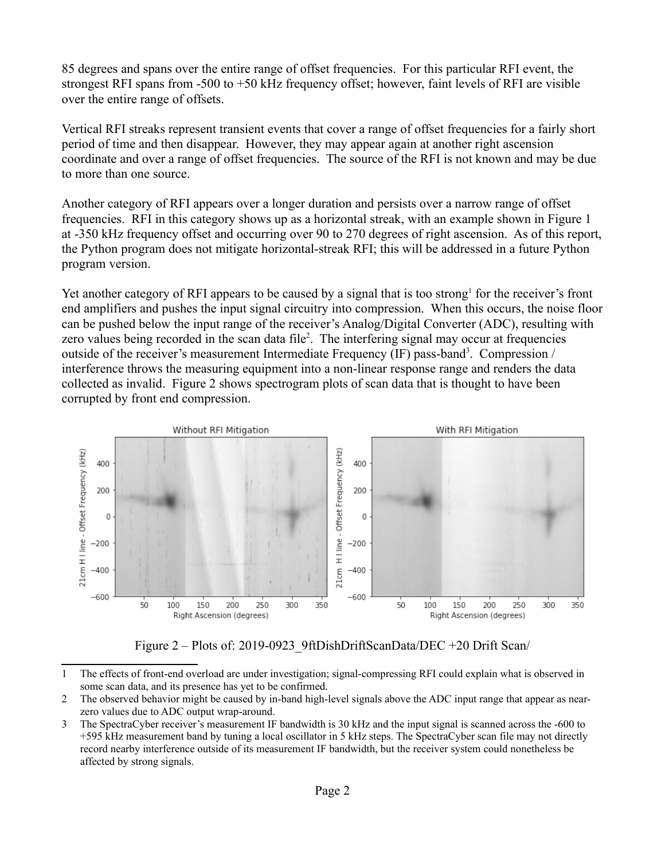85 degrees and spans over the entire range of offset frequencies. For this particular RFI event, the strongest RFI spans from -500 to +50 kHz frequency offset; however, faint levels of RFI are visible over the entire range of offsets.

Vertical RFI streaks represent transient events that cover a range of offset frequencies for a fairly short period of time and then disappear. However, they may appear again at another right ascension coordinate and over a range of offset frequencies. The source of the RFI is not known and may be due to more than one source.

Another category of RFI appears over a longer duration and persists over a narrow range of offset frequencies. RFI in this category shows up as a horizontal streak, with an example shown in Figure 1 at -350 kHz frequency offset and occurring over 90 to 270 degrees of right ascension. As of this report, the Python program does not mitigate horizontal-streak RFI; this will be addressed in a future Python program version.

Yet another category of RFI appears to be caused by a signal that is too strong<sup>1</sup> for the receiver's front end amplifiers and pushes the input signal circuitry into compression. When this occurs, the noise floor can be pushed below the input range of the receiver's Analog/Digital Converter (ADC), resulting with zero values being recorded in the scan data file<sup>2</sup>. The interfering signal may occur at frequencies outside of the receiver's measurement Intermediate Frequency (IF) pass-band<sup>3</sup>. Compression / interference throws the measuring equipment into a non-linear response range and renders the data collected as invalid. Figure 2 shows spectrogram plots of scan data that is thought to have been corrupted by front end compression.



Figure 2 – Plots of: 2019-0923 9ftDishDriftScanData/DEC +20 Drift Scan/

<sup>1</sup> The effects of front-end overload are under investigation; signal-compressing RFI could explain what is observed in some scan data, and its presence has yet to be confirmed.

<sup>2</sup> The observed behavior might be caused by in-band high-level signals above the ADC input range that appear as nearzero values due to ADC output wrap-around.

<sup>3</sup> The SpectraCyber receiver's measurement IF bandwidth is 30 kHz and the input signal is scanned across the -600 to +595 kHz measurement band by tuning a local oscillator in 5 kHz steps. The SpectraCyber scan file may not directly record nearby interference outside of its measurement IF bandwidth, but the receiver system could nonetheless be affected by strong signals.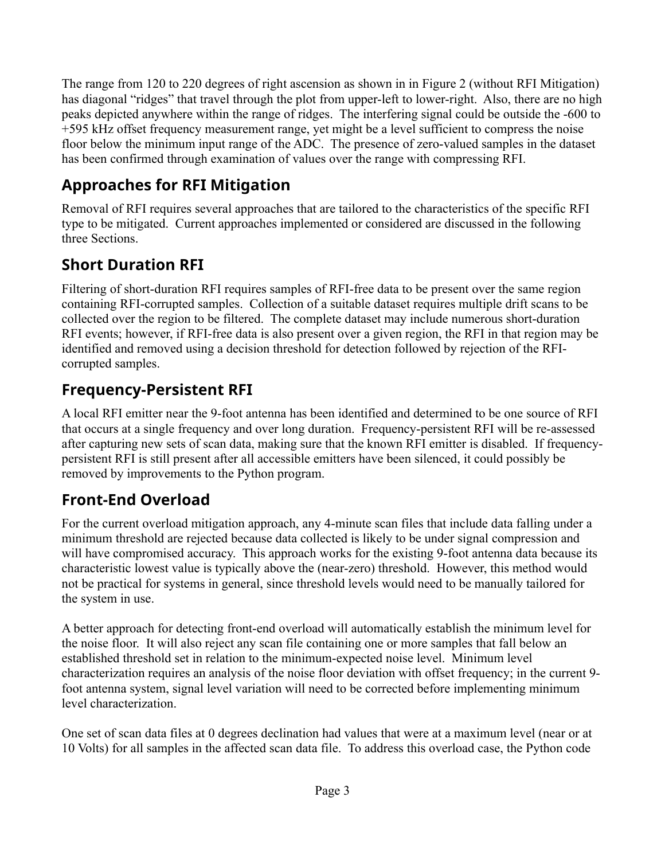The range from 120 to 220 degrees of right ascension as shown in in Figure 2 (without RFI Mitigation) has diagonal "ridges" that travel through the plot from upper-left to lower-right. Also, there are no high peaks depicted anywhere within the range of ridges. The interfering signal could be outside the -600 to +595 kHz offset frequency measurement range, yet might be a level sufficient to compress the noise floor below the minimum input range of the ADC. The presence of zero-valued samples in the dataset has been confirmed through examination of values over the range with compressing RFI.

## **Approaches for RFI Mitigation**

Removal of RFI requires several approaches that are tailored to the characteristics of the specific RFI type to be mitigated. Current approaches implemented or considered are discussed in the following three Sections.

# **Short Duration RFI**

Filtering of short-duration RFI requires samples of RFI-free data to be present over the same region containing RFI-corrupted samples. Collection of a suitable dataset requires multiple drift scans to be collected over the region to be filtered. The complete dataset may include numerous short-duration RFI events; however, if RFI-free data is also present over a given region, the RFI in that region may be identified and removed using a decision threshold for detection followed by rejection of the RFIcorrupted samples.

# **Frequency-Persistent RFI**

A local RFI emitter near the 9-foot antenna has been identified and determined to be one source of RFI that occurs at a single frequency and over long duration. Frequency-persistent RFI will be re-assessed after capturing new sets of scan data, making sure that the known RFI emitter is disabled. If frequencypersistent RFI is still present after all accessible emitters have been silenced, it could possibly be removed by improvements to the Python program.

# **Front-End Overload**

For the current overload mitigation approach, any 4-minute scan files that include data falling under a minimum threshold are rejected because data collected is likely to be under signal compression and will have compromised accuracy. This approach works for the existing 9-foot antenna data because its characteristic lowest value is typically above the (near-zero) threshold. However, this method would not be practical for systems in general, since threshold levels would need to be manually tailored for the system in use.

A better approach for detecting front-end overload will automatically establish the minimum level for the noise floor. It will also reject any scan file containing one or more samples that fall below an established threshold set in relation to the minimum-expected noise level. Minimum level characterization requires an analysis of the noise floor deviation with offset frequency; in the current 9 foot antenna system, signal level variation will need to be corrected before implementing minimum level characterization.

One set of scan data files at 0 degrees declination had values that were at a maximum level (near or at 10 Volts) for all samples in the affected scan data file. To address this overload case, the Python code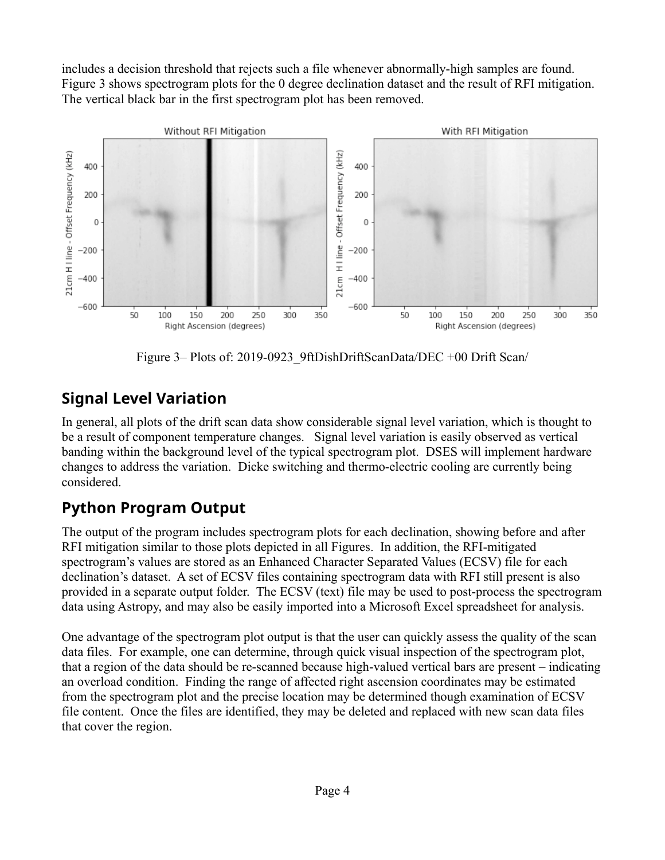includes a decision threshold that rejects such a file whenever abnormally-high samples are found. Figure 3 shows spectrogram plots for the 0 degree declination dataset and the result of RFI mitigation. The vertical black bar in the first spectrogram plot has been removed.



Figure 3– Plots of: 2019-0923 9ftDishDriftScanData/DEC +00 Drift Scan/

## **Signal Level Variation**

In general, all plots of the drift scan data show considerable signal level variation, which is thought to be a result of component temperature changes. Signal level variation is easily observed as vertical banding within the background level of the typical spectrogram plot. DSES will implement hardware changes to address the variation. Dicke switching and thermo-electric cooling are currently being considered.

#### **Python Program Output**

The output of the program includes spectrogram plots for each declination, showing before and after RFI mitigation similar to those plots depicted in all Figures. In addition, the RFI-mitigated spectrogram's values are stored as an Enhanced Character Separated Values (ECSV) file for each declination's dataset. A set of ECSV files containing spectrogram data with RFI still present is also provided in a separate output folder. The ECSV (text) file may be used to post-process the spectrogram data using Astropy, and may also be easily imported into a Microsoft Excel spreadsheet for analysis.

One advantage of the spectrogram plot output is that the user can quickly assess the quality of the scan data files. For example, one can determine, through quick visual inspection of the spectrogram plot, that a region of the data should be re-scanned because high-valued vertical bars are present – indicating an overload condition. Finding the range of affected right ascension coordinates may be estimated from the spectrogram plot and the precise location may be determined though examination of ECSV file content. Once the files are identified, they may be deleted and replaced with new scan data files that cover the region.